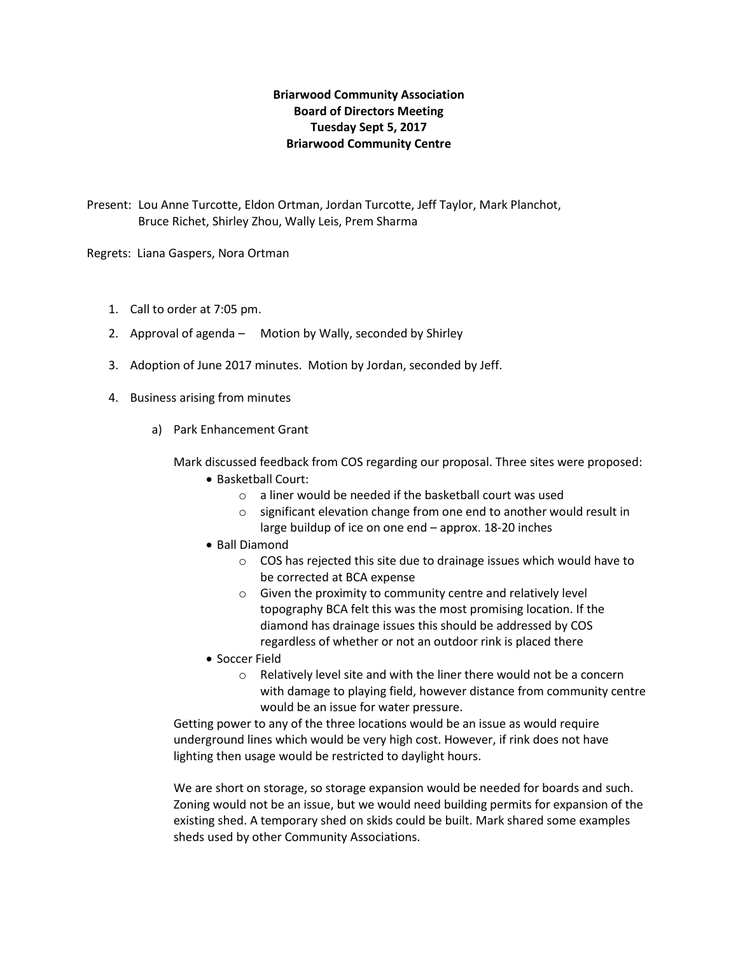# **Briarwood Community Association Board of Directors Meeting Tuesday Sept 5, 2017 Briarwood Community Centre**

Present: Lou Anne Turcotte, Eldon Ortman, Jordan Turcotte, Jeff Taylor, Mark Planchot, Bruce Richet, Shirley Zhou, Wally Leis, Prem Sharma

Regrets: Liana Gaspers, Nora Ortman

- 1. Call to order at 7:05 pm.
- 2. Approval of agenda Motion by Wally, seconded by Shirley
- 3. Adoption of June 2017 minutes. Motion by Jordan, seconded by Jeff.
- 4. Business arising from minutes
	- a) Park Enhancement Grant

Mark discussed feedback from COS regarding our proposal. Three sites were proposed:

- Basketball Court:
	- o a liner would be needed if the basketball court was used
	- o significant elevation change from one end to another would result in large buildup of ice on one end – approx. 18-20 inches
- Ball Diamond
	- o COS has rejected this site due to drainage issues which would have to be corrected at BCA expense
	- o Given the proximity to community centre and relatively level topography BCA felt this was the most promising location. If the diamond has drainage issues this should be addressed by COS regardless of whether or not an outdoor rink is placed there
- Soccer Field
	- o Relatively level site and with the liner there would not be a concern with damage to playing field, however distance from community centre would be an issue for water pressure.

Getting power to any of the three locations would be an issue as would require underground lines which would be very high cost. However, if rink does not have lighting then usage would be restricted to daylight hours.

We are short on storage, so storage expansion would be needed for boards and such. Zoning would not be an issue, but we would need building permits for expansion of the existing shed. A temporary shed on skids could be built. Mark shared some examples sheds used by other Community Associations.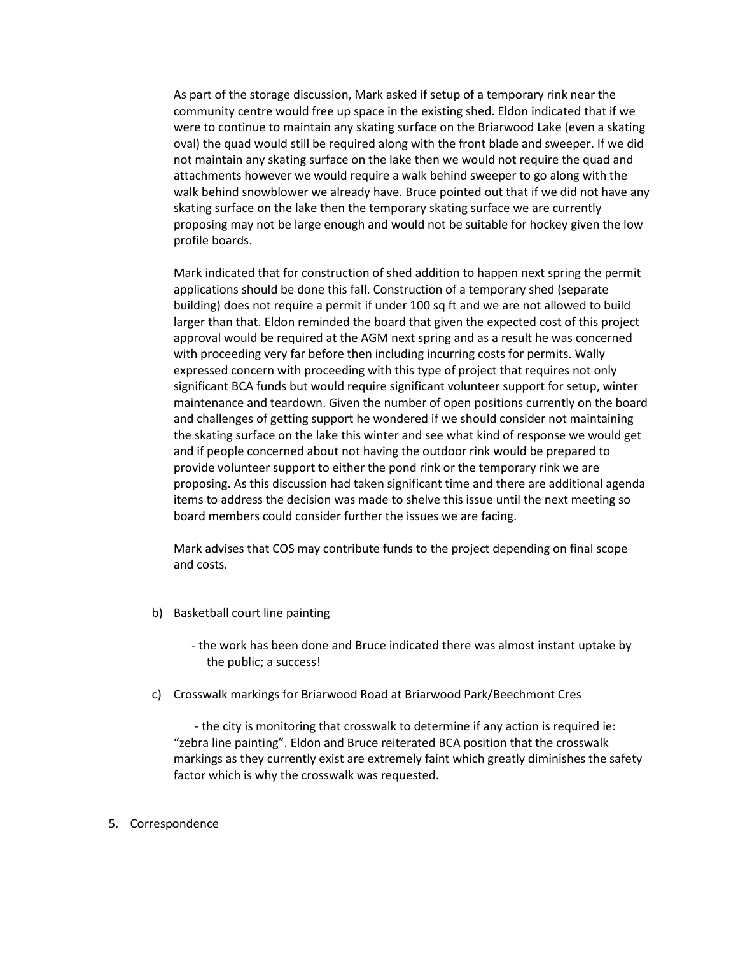As part of the storage discussion, Mark asked if setup of a temporary rink near the community centre would free up space in the existing shed. Eldon indicated that if we were to continue to maintain any skating surface on the Briarwood Lake (even a skating oval) the quad would still be required along with the front blade and sweeper. If we did not maintain any skating surface on the lake then we would not require the quad and attachments however we would require a walk behind sweeper to go along with the walk behind snowblower we already have. Bruce pointed out that if we did not have any skating surface on the lake then the temporary skating surface we are currently proposing may not be large enough and would not be suitable for hockey given the low profile boards.

Mark indicated that for construction of shed addition to happen next spring the permit applications should be done this fall. Construction of a temporary shed (separate building) does not require a permit if under 100 sq ft and we are not allowed to build larger than that. Eldon reminded the board that given the expected cost of this project approval would be required at the AGM next spring and as a result he was concerned with proceeding very far before then including incurring costs for permits. Wally expressed concern with proceeding with this type of project that requires not only significant BCA funds but would require significant volunteer support for setup, winter maintenance and teardown. Given the number of open positions currently on the board and challenges of getting support he wondered if we should consider not maintaining the skating surface on the lake this winter and see what kind of response we would get and if people concerned about not having the outdoor rink would be prepared to provide volunteer support to either the pond rink or the temporary rink we are proposing. As this discussion had taken significant time and there are additional agenda items to address the decision was made to shelve this issue until the next meeting so board members could consider further the issues we are facing.

Mark advises that COS may contribute funds to the project depending on final scope and costs.

b) Basketball court line painting

 - the work has been done and Bruce indicated there was almost instant uptake by the public; a success!

c) Crosswalk markings for Briarwood Road at Briarwood Park/Beechmont Cres

 - the city is monitoring that crosswalk to determine if any action is required ie: "zebra line painting". Eldon and Bruce reiterated BCA position that the crosswalk markings as they currently exist are extremely faint which greatly diminishes the safety factor which is why the crosswalk was requested.

### 5. Correspondence